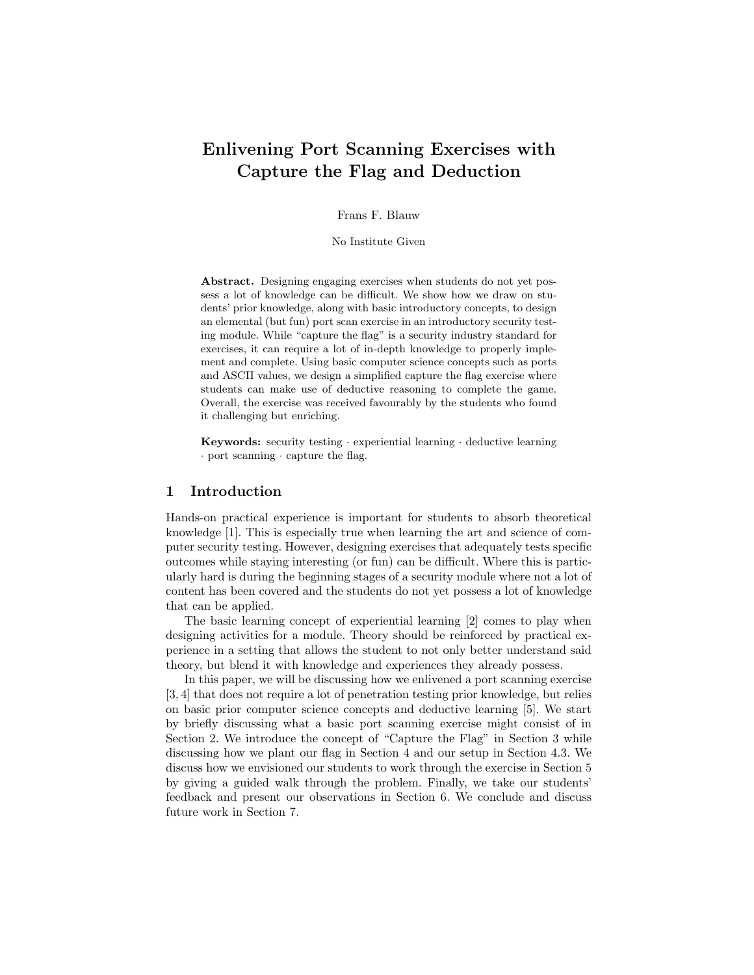# Enlivening Port Scanning Exercises with Capture the Flag and Deduction

Frans F. Blauw

No Institute Given

Abstract. Designing engaging exercises when students do not yet possess a lot of knowledge can be difficult. We show how we draw on students' prior knowledge, along with basic introductory concepts, to design an elemental (but fun) port scan exercise in an introductory security testing module. While "capture the flag" is a security industry standard for exercises, it can require a lot of in-depth knowledge to properly implement and complete. Using basic computer science concepts such as ports and ASCII values, we design a simplified capture the flag exercise where students can make use of deductive reasoning to complete the game. Overall, the exercise was received favourably by the students who found it challenging but enriching.

**Keywords:** security testing  $\cdot$  experiential learning  $\cdot$  deductive learning · port scanning · capture the flag.

### 1 Introduction

Hands-on practical experience is important for students to absorb theoretical knowledge [1]. This is especially true when learning the art and science of computer security testing. However, designing exercises that adequately tests specific outcomes while staying interesting (or fun) can be difficult. Where this is particularly hard is during the beginning stages of a security module where not a lot of content has been covered and the students do not yet possess a lot of knowledge that can be applied.

The basic learning concept of experiential learning [2] comes to play when designing activities for a module. Theory should be reinforced by practical experience in a setting that allows the student to not only better understand said theory, but blend it with knowledge and experiences they already possess.

In this paper, we will be discussing how we enlivened a port scanning exercise [3, 4] that does not require a lot of penetration testing prior knowledge, but relies on basic prior computer science concepts and deductive learning [5]. We start by briefly discussing what a basic port scanning exercise might consist of in Section 2. We introduce the concept of "Capture the Flag" in Section 3 while discussing how we plant our flag in Section 4 and our setup in Section 4.3. We discuss how we envisioned our students to work through the exercise in Section 5 by giving a guided walk through the problem. Finally, we take our students' feedback and present our observations in Section 6. We conclude and discuss future work in Section 7.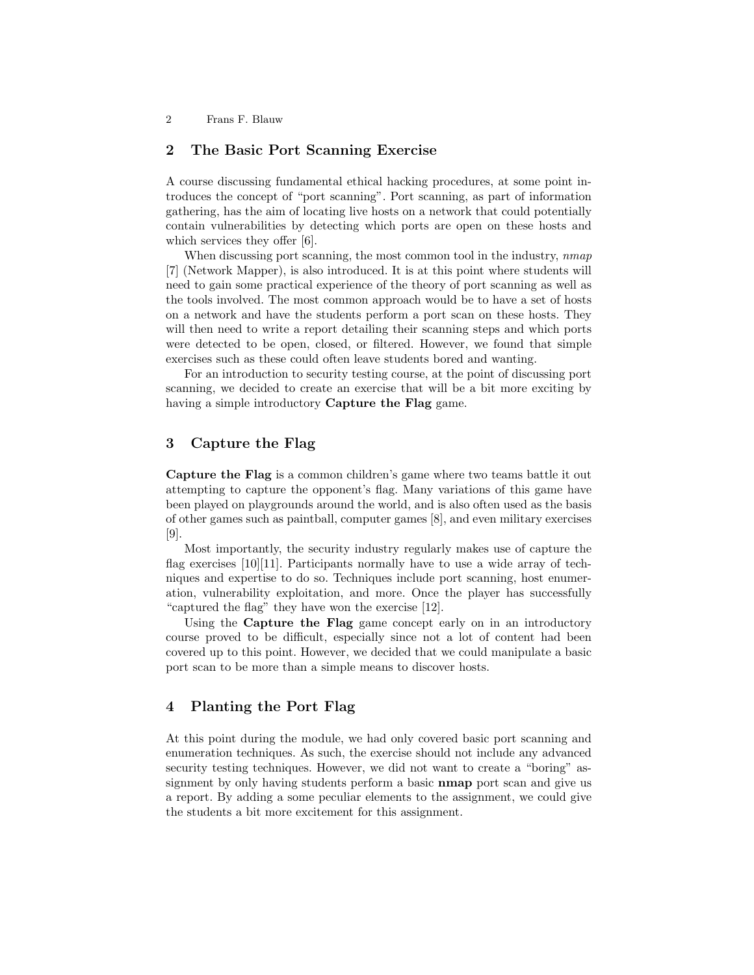# 2 The Basic Port Scanning Exercise

A course discussing fundamental ethical hacking procedures, at some point introduces the concept of "port scanning". Port scanning, as part of information gathering, has the aim of locating live hosts on a network that could potentially contain vulnerabilities by detecting which ports are open on these hosts and which services they offer [6].

When discussing port scanning, the most common tool in the industry, nmap [7] (Network Mapper), is also introduced. It is at this point where students will need to gain some practical experience of the theory of port scanning as well as the tools involved. The most common approach would be to have a set of hosts on a network and have the students perform a port scan on these hosts. They will then need to write a report detailing their scanning steps and which ports were detected to be open, closed, or filtered. However, we found that simple exercises such as these could often leave students bored and wanting.

For an introduction to security testing course, at the point of discussing port scanning, we decided to create an exercise that will be a bit more exciting by having a simple introductory **Capture the Flag** game.

# 3 Capture the Flag

Capture the Flag is a common children's game where two teams battle it out attempting to capture the opponent's flag. Many variations of this game have been played on playgrounds around the world, and is also often used as the basis of other games such as paintball, computer games [8], and even military exercises [9].

Most importantly, the security industry regularly makes use of capture the flag exercises  $[10][11]$ . Participants normally have to use a wide array of techniques and expertise to do so. Techniques include port scanning, host enumeration, vulnerability exploitation, and more. Once the player has successfully "captured the flag" they have won the exercise [12].

Using the Capture the Flag game concept early on in an introductory course proved to be difficult, especially since not a lot of content had been covered up to this point. However, we decided that we could manipulate a basic port scan to be more than a simple means to discover hosts.

## 4 Planting the Port Flag

At this point during the module, we had only covered basic port scanning and enumeration techniques. As such, the exercise should not include any advanced security testing techniques. However, we did not want to create a "boring" assignment by only having students perform a basic **nmap** port scan and give us a report. By adding a some peculiar elements to the assignment, we could give the students a bit more excitement for this assignment.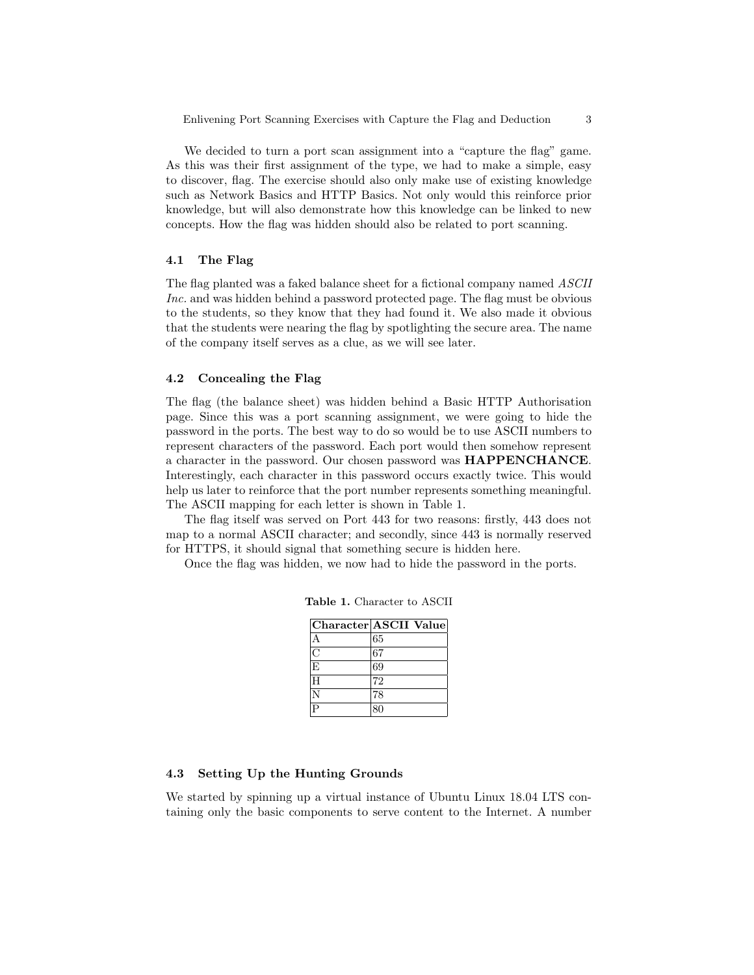We decided to turn a port scan assignment into a "capture the flag" game. As this was their first assignment of the type, we had to make a simple, easy to discover, flag. The exercise should also only make use of existing knowledge such as Network Basics and HTTP Basics. Not only would this reinforce prior knowledge, but will also demonstrate how this knowledge can be linked to new concepts. How the flag was hidden should also be related to port scanning.

#### 4.1 The Flag

The flag planted was a faked balance sheet for a fictional company named ASCII Inc. and was hidden behind a password protected page. The flag must be obvious to the students, so they know that they had found it. We also made it obvious that the students were nearing the flag by spotlighting the secure area. The name of the company itself serves as a clue, as we will see later.

#### 4.2 Concealing the Flag

The flag (the balance sheet) was hidden behind a Basic HTTP Authorisation page. Since this was a port scanning assignment, we were going to hide the password in the ports. The best way to do so would be to use ASCII numbers to represent characters of the password. Each port would then somehow represent a character in the password. Our chosen password was HAPPENCHANCE. Interestingly, each character in this password occurs exactly twice. This would help us later to reinforce that the port number represents something meaningful. The ASCII mapping for each letter is shown in Table 1.

The flag itself was served on Port 443 for two reasons: firstly, 443 does not map to a normal ASCII character; and secondly, since 443 is normally reserved for HTTPS, it should signal that something secure is hidden here.

Once the flag was hidden, we now had to hide the password in the ports.

|    | Character ASCII Value |
|----|-----------------------|
| А  | 65                    |
| C  | 67                    |
| lΕ | 69                    |
| H  | 72                    |
|    | 78                    |
| Þ  | 80                    |

Table 1. Character to ASCII

#### 4.3 Setting Up the Hunting Grounds

We started by spinning up a virtual instance of Ubuntu Linux 18.04 LTS containing only the basic components to serve content to the Internet. A number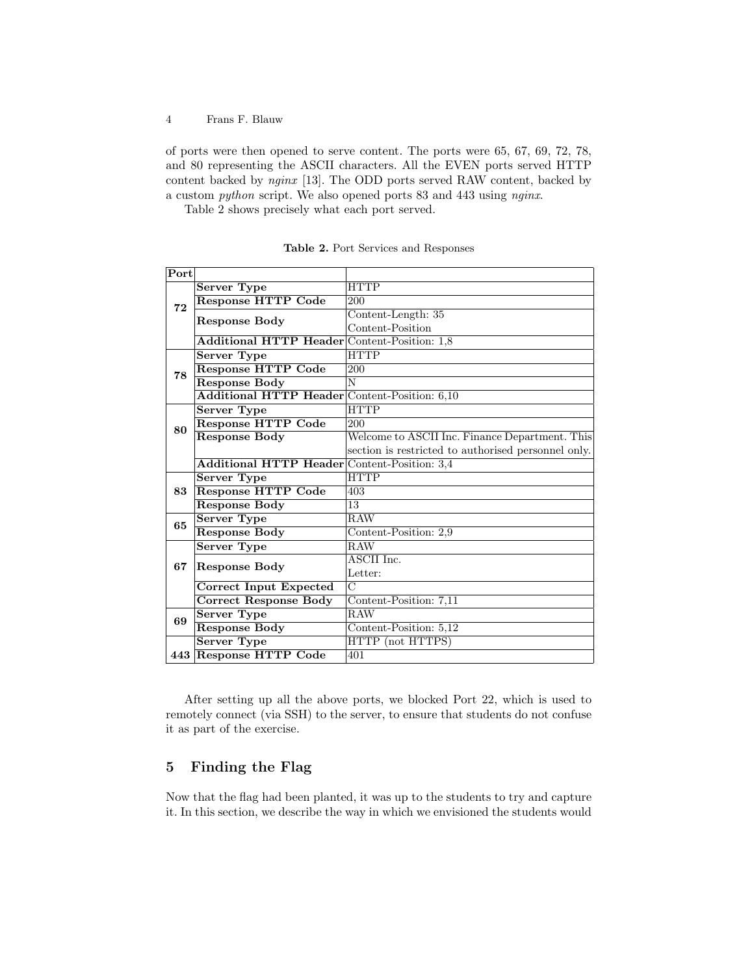of ports were then opened to serve content. The ports were 65, 67, 69, 72, 78, and 80 representing the ASCII characters. All the EVEN ports served HTTP content backed by nginx [13]. The ODD ports served RAW content, backed by a custom python script. We also opened ports 83 and 443 using nginx.

Table 2 shows precisely what each port served.

| Port |                                               |                                                     |
|------|-----------------------------------------------|-----------------------------------------------------|
|      | <b>Server Type</b>                            | <b>HTTP</b>                                         |
| 72   | <b>Response HTTP Code</b>                     | 200                                                 |
|      | <b>Response Body</b>                          | Content-Length: 35                                  |
|      |                                               | Content-Position                                    |
|      | Additional HTTP Header Content-Position: 1,8  |                                                     |
|      | <b>Server Type</b>                            | <b>HTTP</b>                                         |
| 78   | <b>Response HTTP Code</b>                     | 200                                                 |
|      | <b>Response Body</b>                          | N                                                   |
|      | Additional HTTP Header Content-Position: 6,10 |                                                     |
|      | Server Type                                   | <b>HTTP</b>                                         |
| 80   | <b>Response HTTP Code</b>                     | 200                                                 |
|      | <b>Response Body</b>                          | Welcome to ASCII Inc. Finance Department. This      |
|      |                                               | section is restricted to authorised personnel only. |
|      | Additional HTTP Header Content-Position: 3,4  |                                                     |
|      | <b>Server Type</b>                            | <b>HTTP</b>                                         |
| 83   | <b>Response HTTP Code</b>                     | 403                                                 |
|      | <b>Response Body</b>                          | 13                                                  |
| 65   | <b>Server Type</b>                            | <b>RAW</b>                                          |
|      | <b>Response Body</b>                          | Content-Position: 2,9                               |
|      | Server Type                                   | RAW                                                 |
| 67   | <b>Response Body</b>                          | ASCII Inc.                                          |
|      |                                               | Letter:                                             |
|      | <b>Correct Input Expected</b>                 | $\overline{C}$                                      |
|      | <b>Correct Response Body</b>                  | Content-Position: 7,11                              |
| 69   | <b>Server Type</b>                            | <b>RAW</b>                                          |
|      | <b>Response Body</b>                          | Content-Position: 5,12                              |
|      | <b>Server Type</b>                            | HTTP (not HTTPS)                                    |
|      | 443 Response HTTP Code                        | 401                                                 |

Table 2. Port Services and Responses

After setting up all the above ports, we blocked Port 22, which is used to remotely connect (via SSH) to the server, to ensure that students do not confuse it as part of the exercise.

# 5 Finding the Flag

Now that the flag had been planted, it was up to the students to try and capture it. In this section, we describe the way in which we envisioned the students would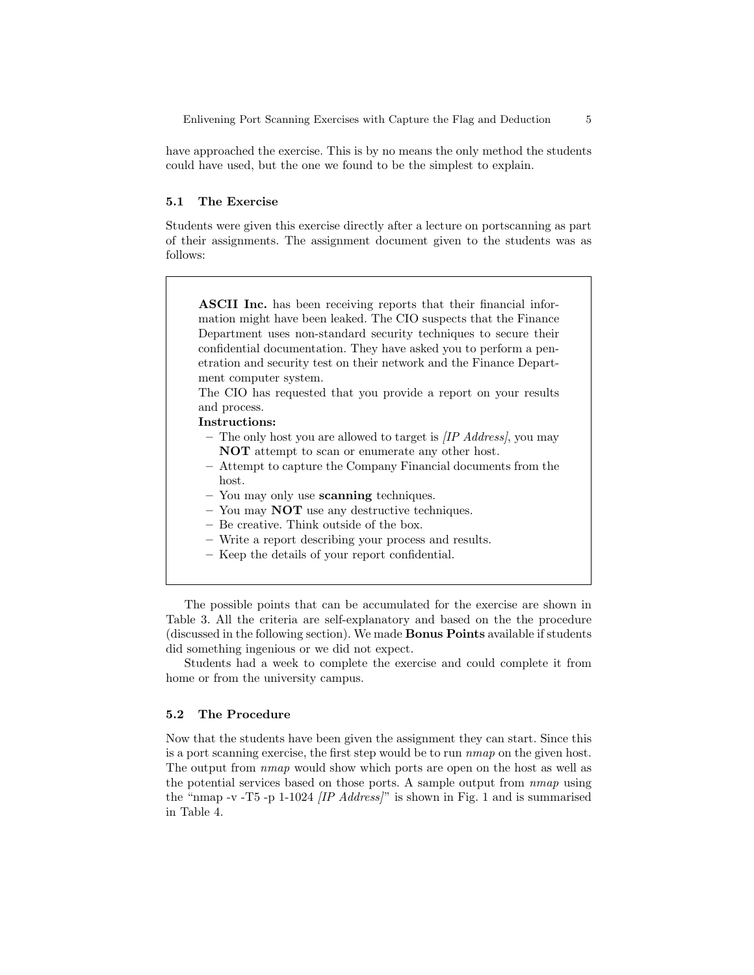have approached the exercise. This is by no means the only method the students could have used, but the one we found to be the simplest to explain.

#### 5.1 The Exercise

Students were given this exercise directly after a lecture on portscanning as part of their assignments. The assignment document given to the students was as follows:

ASCII Inc. has been receiving reports that their financial information might have been leaked. The CIO suspects that the Finance Department uses non-standard security techniques to secure their confidential documentation. They have asked you to perform a penetration and security test on their network and the Finance Department computer system.

The CIO has requested that you provide a report on your results and process.

Instructions:

- The only host you are allowed to target is  $\textit{IP Address}$ , you may NOT attempt to scan or enumerate any other host.
- Attempt to capture the Company Financial documents from the host.
- You may only use **scanning** techniques.
- $-$  You may **NOT** use any destructive techniques.
- Be creative. Think outside of the box.
- Write a report describing your process and results.
- Keep the details of your report confidential.

The possible points that can be accumulated for the exercise are shown in Table 3. All the criteria are self-explanatory and based on the the procedure (discussed in the following section). We made Bonus Points available if students did something ingenious or we did not expect.

Students had a week to complete the exercise and could complete it from home or from the university campus.

#### 5.2 The Procedure

Now that the students have been given the assignment they can start. Since this is a port scanning exercise, the first step would be to run nmap on the given host. The output from nmap would show which ports are open on the host as well as the potential services based on those ports. A sample output from nmap using the "nmap -v -T5 -p 1-1024  $\langle IP \text{ Address} \rangle$ " is shown in Fig. 1 and is summarised in Table 4.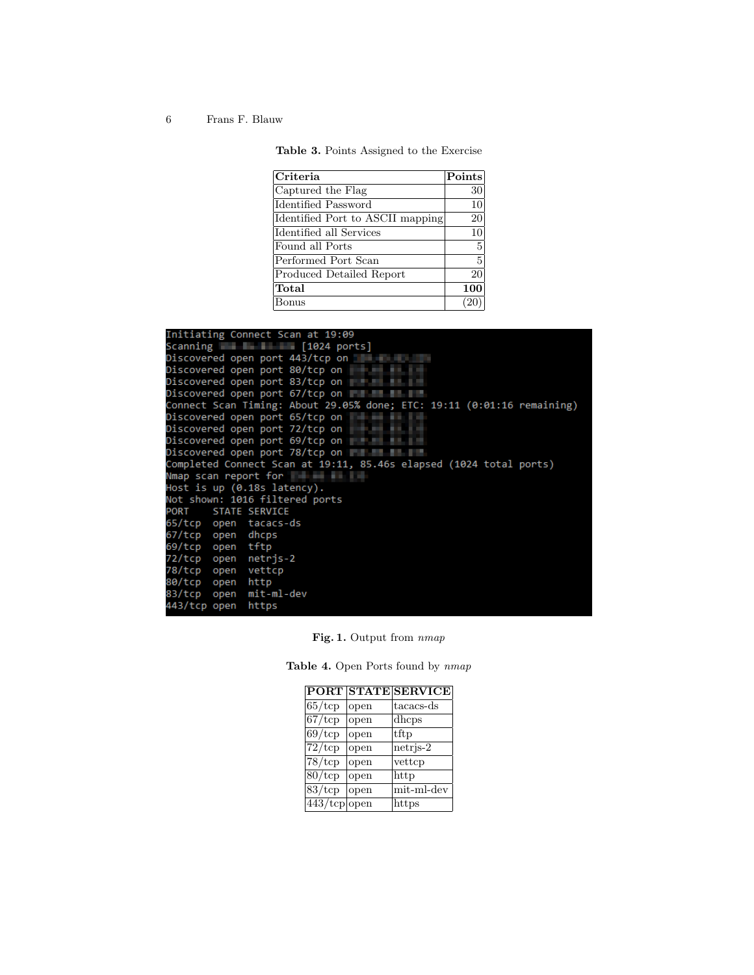| Table 3. Points Assigned to the Exercise |  |  |  |  |  |
|------------------------------------------|--|--|--|--|--|
|------------------------------------------|--|--|--|--|--|

| $ $ Criteria                     | $ \mathrm{Points} $ |
|----------------------------------|---------------------|
| Captured the Flag                | 30                  |
| Identified Password              | 10                  |
| Identified Port to ASCII mapping | 20                  |
| Identified all Services          | 10                  |
| Found all Ports                  | 5                   |
| Performed Port Scan              | 5                   |
| Produced Detailed Report         | 20                  |
| Total                            | 100                 |
| Bonus                            |                     |

| Initiating Connect Scan at 19:09                                                                               |
|----------------------------------------------------------------------------------------------------------------|
| Scanning $\blacksquare$ $\blacksquare$ [1024 ports]                                                            |
| Discovered open port 443/tcp on                                                                                |
| Discovered open port 80/tcp on the control of the control of the control of the control of the control of the  |
| Discovered open port 83/tcp on Tellerand Market                                                                |
| Discovered open port 67/tcp on Fig. 1999                                                                       |
| Connect Scan Timing: About 29.05% done; ETC: 19:11 (0:01:16 remaining)                                         |
| Discovered open port 65/tcp on                                                                                 |
| Discovered open port 72/tcp on                                                                                 |
| Discovered open port 69/tcp on                                                                                 |
| Discovered open port 78/tcp on                                                                                 |
| Completed Connect Scan at 19:11, 85.46s elapsed (1024 total ports)                                             |
| Nmap scan report for the control of the control of the control of the control of the control of the control of |
| Host is up $(0.18s$ latency).                                                                                  |
| Not shown: 1016 filtered ports                                                                                 |
| PORT STATE SERVICE                                                                                             |
| 65/tcp open tacacs-ds                                                                                          |
| 67/tcp open dhcps                                                                                              |
| 69/tcp open tftp                                                                                               |
| 72/tcp open netrjs-2                                                                                           |
| 78/tcp open vettcp                                                                                             |
| 80/tcp open http                                                                                               |
| 83/tcp open mit-ml-dev                                                                                         |
| 443/tcp open https                                                                                             |

Fig. 1. Output from  $nmap$ 

|                              |      | PORT STATE SERVICE |
|------------------------------|------|--------------------|
| $ 65/\mathrm{tcp} $          | open | tacacs-ds          |
| $67/\mathrm{top}$            | open | dhcps              |
| $\sqrt{69}/\mathrm{tcp}$     | open | tftp               |
| $\sqrt{72}/\mathrm{tcp}$     | open | $netris-2$         |
| $ 78/\text{tcp} $            | open | vettcp             |
| $80/\text{tcp}$              | open | http               |
| $\overline{83}/\mathrm{tcp}$ | open | mit-ml-dev         |
| $443$ /tcp open              |      | https              |

Table 4. Open Ports found by  $nmap$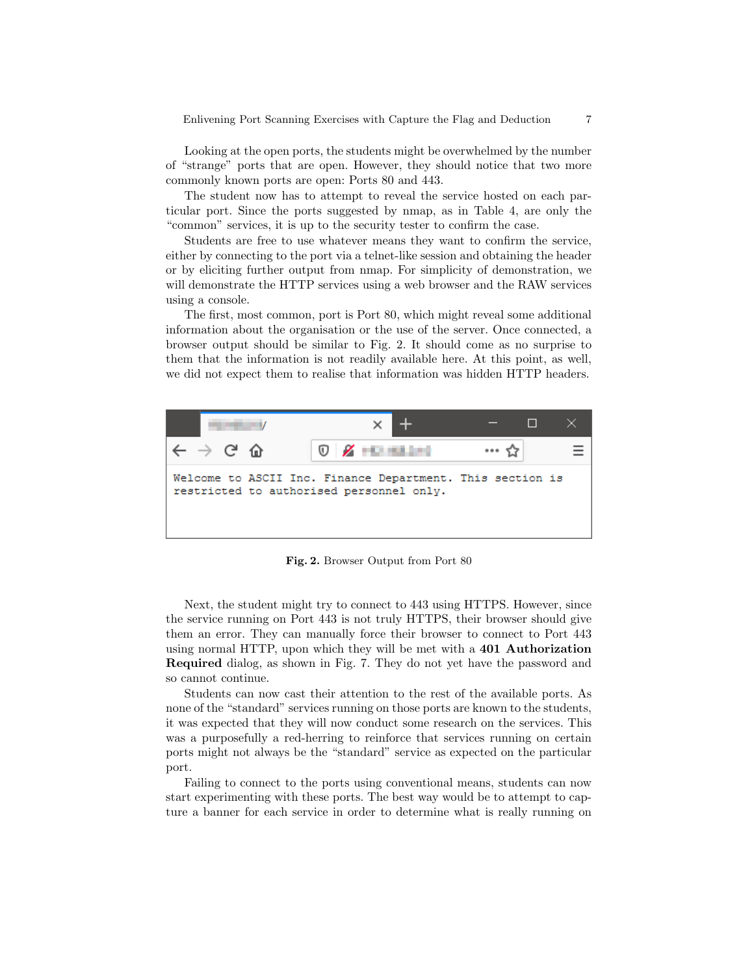Looking at the open ports, the students might be overwhelmed by the number of "strange" ports that are open. However, they should notice that two more commonly known ports are open: Ports 80 and 443.

The student now has to attempt to reveal the service hosted on each particular port. Since the ports suggested by nmap, as in Table 4, are only the "common" services, it is up to the security tester to confirm the case.

Students are free to use whatever means they want to confirm the service, either by connecting to the port via a telnet-like session and obtaining the header or by eliciting further output from nmap. For simplicity of demonstration, we will demonstrate the HTTP services using a web browser and the RAW services using a console.

The first, most common, port is Port 80, which might reveal some additional information about the organisation or the use of the server. Once connected, a browser output should be similar to Fig. 2. It should come as no surprise to them that the information is not readily available here. At this point, as well, we did not expect them to realise that information was hidden HTTP headers.



Fig. 2. Browser Output from Port 80

Next, the student might try to connect to 443 using HTTPS. However, since the service running on Port 443 is not truly HTTPS, their browser should give them an error. They can manually force their browser to connect to Port 443 using normal HTTP, upon which they will be met with a 401 Authorization Required dialog, as shown in Fig. 7. They do not yet have the password and so cannot continue.

Students can now cast their attention to the rest of the available ports. As none of the "standard" services running on those ports are known to the students, it was expected that they will now conduct some research on the services. This was a purposefully a red-herring to reinforce that services running on certain ports might not always be the "standard" service as expected on the particular port.

Failing to connect to the ports using conventional means, students can now start experimenting with these ports. The best way would be to attempt to capture a banner for each service in order to determine what is really running on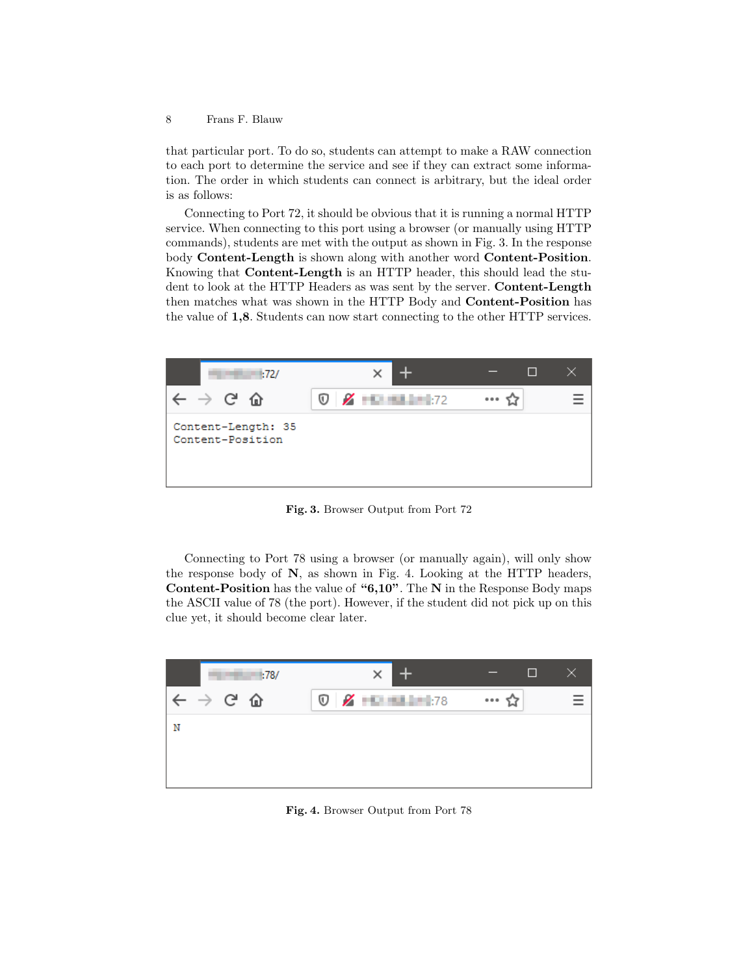that particular port. To do so, students can attempt to make a RAW connection to each port to determine the service and see if they can extract some information. The order in which students can connect is arbitrary, but the ideal order is as follows:

Connecting to Port 72, it should be obvious that it is running a normal HTTP service. When connecting to this port using a browser (or manually using HTTP commands), students are met with the output as shown in Fig. 3. In the response body Content-Length is shown along with another word Content-Position. Knowing that Content-Length is an HTTP header, this should lead the student to look at the HTTP Headers as was sent by the server. Content-Length then matches what was shown in the HTTP Body and Content-Position has the value of 1,8. Students can now start connecting to the other HTTP services.



Fig. 3. Browser Output from Port 72

Connecting to Port 78 using a browser (or manually again), will only show the response body of N, as shown in Fig. 4. Looking at the HTTP headers, Content-Position has the value of "6,10". The N in the Response Body maps the ASCII value of 78 (the port). However, if the student did not pick up on this clue yet, it should become clear later.



Fig. 4. Browser Output from Port 78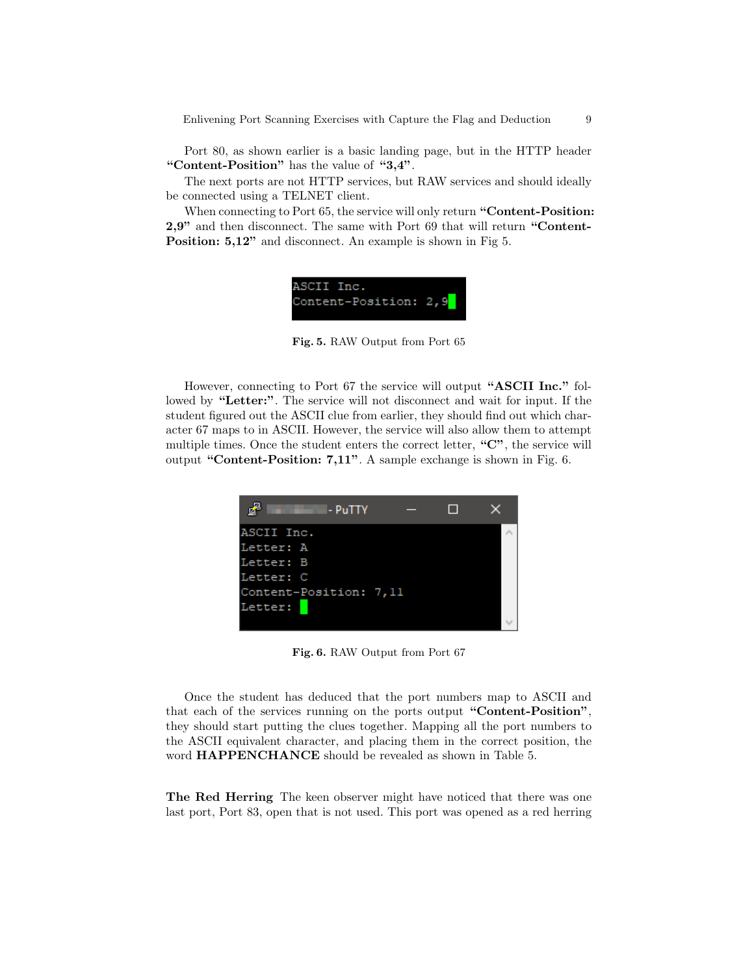Enlivening Port Scanning Exercises with Capture the Flag and Deduction 9

Port 80, as shown earlier is a basic landing page, but in the HTTP header "Content-Position" has the value of "3,4".

The next ports are not HTTP services, but RAW services and should ideally be connected using a TELNET client.

When connecting to Port 65, the service will only return "**Content-Position:** 2,9" and then disconnect. The same with Port 69 that will return "Content-**Position: 5,12"** and disconnect. An example is shown in Fig 5.



Fig. 5. RAW Output from Port 65

However, connecting to Port 67 the service will output "ASCII Inc." followed by "Letter:". The service will not disconnect and wait for input. If the student figured out the ASCII clue from earlier, they should find out which character 67 maps to in ASCII. However, the service will also allow them to attempt multiple times. Once the student enters the correct letter, "C", the service will output "Content-Position: 7,11". A sample exchange is shown in Fig. 6.



Fig. 6. RAW Output from Port 67

Once the student has deduced that the port numbers map to ASCII and that each of the services running on the ports output "Content-Position", they should start putting the clues together. Mapping all the port numbers to the ASCII equivalent character, and placing them in the correct position, the word HAPPENCHANCE should be revealed as shown in Table 5.

The Red Herring The keen observer might have noticed that there was one last port, Port 83, open that is not used. This port was opened as a red herring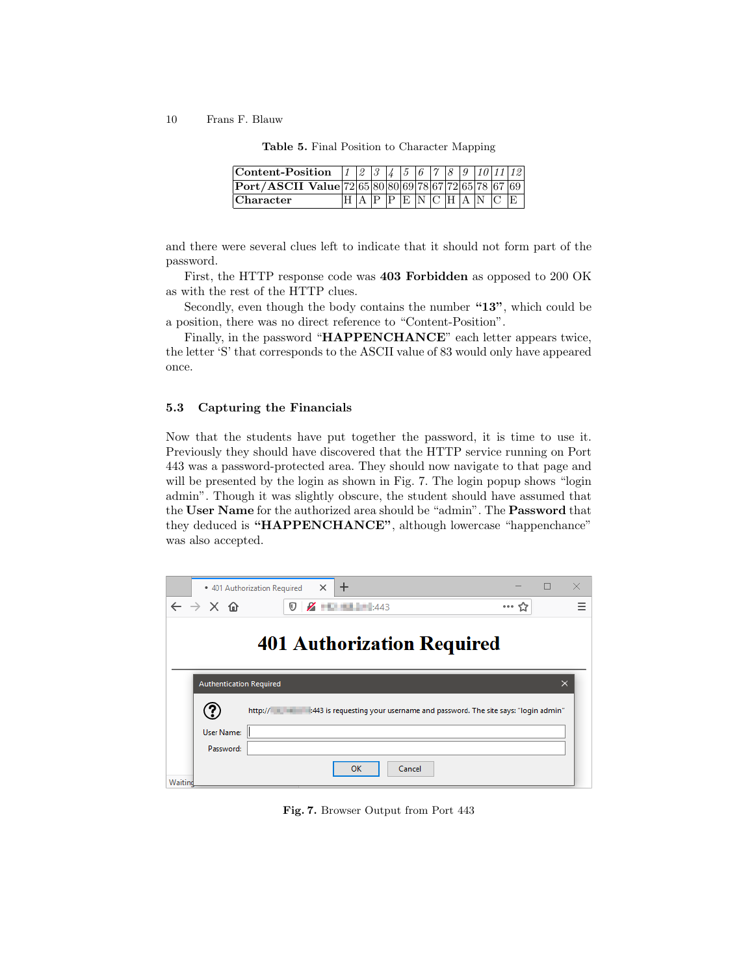| <b>Content-Position</b> $1 \mid 2 \mid 3 \mid 4 \mid 5 \mid 6 \mid 7 \mid 8 \mid 9 \mid 10 \mid 11 \mid 12$ |  |  |  |  |                 |     |
|-------------------------------------------------------------------------------------------------------------|--|--|--|--|-----------------|-----|
| Port/ASCII Value 72 65 80 80 69 78 67 72 65 78  67  69                                                      |  |  |  |  |                 |     |
| Character                                                                                                   |  |  |  |  | P E N C H A N C | IE. |

Table 5. Final Position to Character Mapping

and there were several clues left to indicate that it should not form part of the password.

First, the HTTP response code was 403 Forbidden as opposed to 200 OK as with the rest of the HTTP clues.

Secondly, even though the body contains the number "13", which could be a position, there was no direct reference to "Content-Position".

Finally, in the password "HAPPENCHANCE" each letter appears twice, the letter 'S' that corresponds to the ASCII value of 83 would only have appeared once.

#### 5.3 Capturing the Financials

Now that the students have put together the password, it is time to use it. Previously they should have discovered that the HTTP service running on Port 443 was a password-protected area. They should now navigate to that page and will be presented by the login as shown in Fig. 7. The login popup shows "login admin". Though it was slightly obscure, the student should have assumed that the User Name for the authorized area should be "admin". The Password that they deduced is "HAPPENCHANCE", although lowercase "happenchance" was also accepted.



Fig. 7. Browser Output from Port 443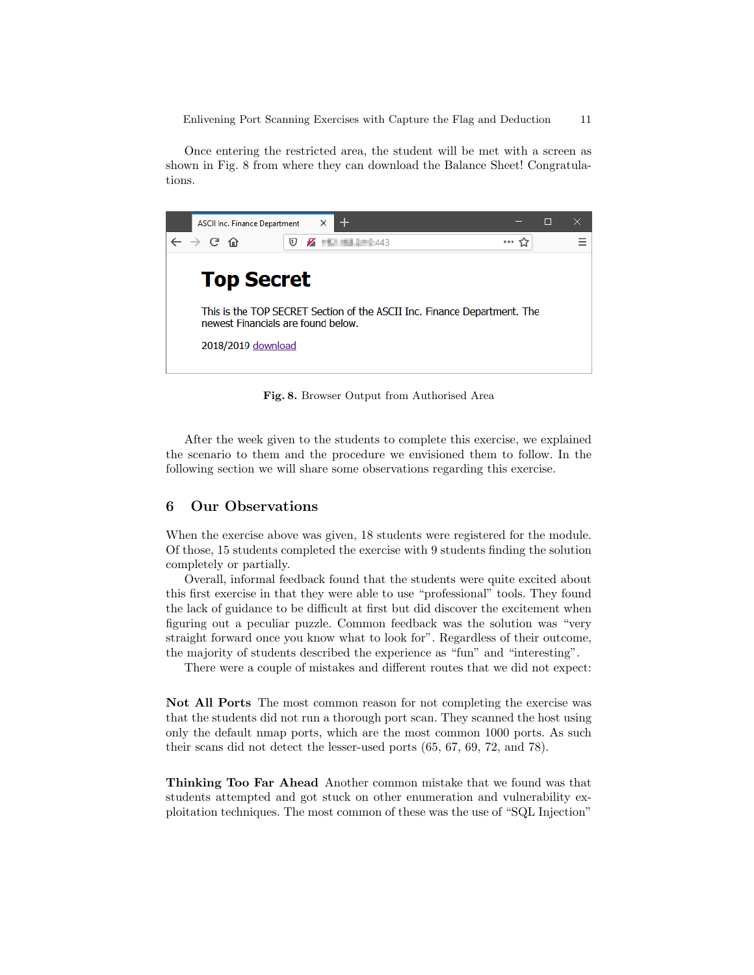Once entering the restricted area, the student will be met with a screen as shown in Fig. 8 from where they can download the Balance Sheet! Congratulations.



Fig. 8. Browser Output from Authorised Area

After the week given to the students to complete this exercise, we explained the scenario to them and the procedure we envisioned them to follow. In the following section we will share some observations regarding this exercise.

#### 6 Our Observations

When the exercise above was given, 18 students were registered for the module. Of those, 15 students completed the exercise with 9 students finding the solution completely or partially.

Overall, informal feedback found that the students were quite excited about this first exercise in that they were able to use "professional" tools. They found the lack of guidance to be difficult at first but did discover the excitement when figuring out a peculiar puzzle. Common feedback was the solution was "very straight forward once you know what to look for". Regardless of their outcome, the majority of students described the experience as "fun" and "interesting".

There were a couple of mistakes and different routes that we did not expect:

Not All Ports The most common reason for not completing the exercise was that the students did not run a thorough port scan. They scanned the host using only the default nmap ports, which are the most common 1000 ports. As such their scans did not detect the lesser-used ports (65, 67, 69, 72, and 78).

Thinking Too Far Ahead Another common mistake that we found was that students attempted and got stuck on other enumeration and vulnerability exploitation techniques. The most common of these was the use of "SQL Injection"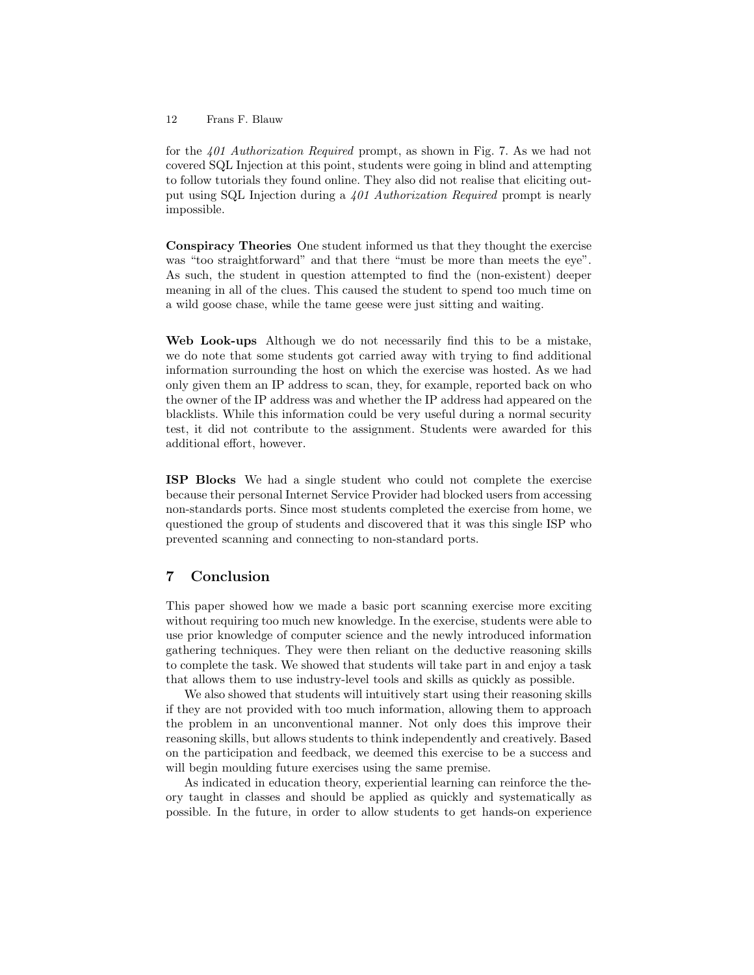for the 401 Authorization Required prompt, as shown in Fig. 7. As we had not covered SQL Injection at this point, students were going in blind and attempting to follow tutorials they found online. They also did not realise that eliciting output using SQL Injection during a 401 Authorization Required prompt is nearly impossible.

Conspiracy Theories One student informed us that they thought the exercise was "too straightforward" and that there "must be more than meets the eye". As such, the student in question attempted to find the (non-existent) deeper meaning in all of the clues. This caused the student to spend too much time on a wild goose chase, while the tame geese were just sitting and waiting.

Web Look-ups Although we do not necessarily find this to be a mistake, we do note that some students got carried away with trying to find additional information surrounding the host on which the exercise was hosted. As we had only given them an IP address to scan, they, for example, reported back on who the owner of the IP address was and whether the IP address had appeared on the blacklists. While this information could be very useful during a normal security test, it did not contribute to the assignment. Students were awarded for this additional effort, however.

ISP Blocks We had a single student who could not complete the exercise because their personal Internet Service Provider had blocked users from accessing non-standards ports. Since most students completed the exercise from home, we questioned the group of students and discovered that it was this single ISP who prevented scanning and connecting to non-standard ports.

# 7 Conclusion

This paper showed how we made a basic port scanning exercise more exciting without requiring too much new knowledge. In the exercise, students were able to use prior knowledge of computer science and the newly introduced information gathering techniques. They were then reliant on the deductive reasoning skills to complete the task. We showed that students will take part in and enjoy a task that allows them to use industry-level tools and skills as quickly as possible.

We also showed that students will intuitively start using their reasoning skills if they are not provided with too much information, allowing them to approach the problem in an unconventional manner. Not only does this improve their reasoning skills, but allows students to think independently and creatively. Based on the participation and feedback, we deemed this exercise to be a success and will begin moulding future exercises using the same premise.

As indicated in education theory, experiential learning can reinforce the theory taught in classes and should be applied as quickly and systematically as possible. In the future, in order to allow students to get hands-on experience